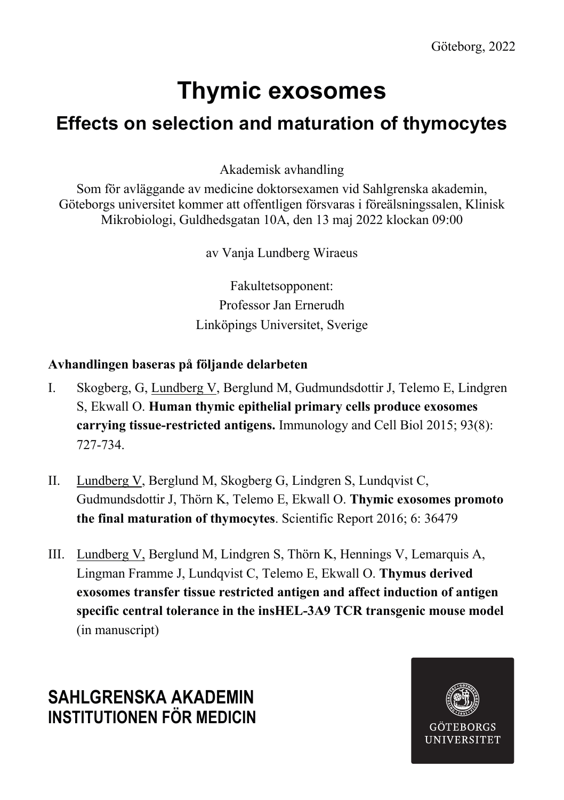# **Thymic exosomes**

## **Effects on selection and maturation of thymocytes**

Akademisk avhandling

Som för avläggande av medicine doktorsexamen vid Sahlgrenska akademin, Göteborgs universitet kommer att offentligen försvaras i föreälsningssalen, Klinisk Mikrobiologi, Guldhedsgatan 10A, den 13 maj 2022 klockan 09:00

av Vanja Lundberg Wiraeus

Fakultetsopponent: Professor Jan Ernerudh Linköpings Universitet, Sverige

### **Avhandlingen baseras på följande delarbeten**

- I. Skogberg, G, Lundberg V, Berglund M, Gudmundsdottir J, Telemo E, Lindgren S, Ekwall O. **Human thymic epithelial primary cells produce exosomes carrying tissue-restricted antigens.** Immunology and Cell Biol 2015; 93(8): 727-734.
- II. Lundberg V, Berglund M, Skogberg G, Lindgren S, Lundqvist C, Gudmundsdottir J, Thörn K, Telemo E, Ekwall O. **Thymic exosomes promoto the final maturation of thymocytes**. Scientific Report 2016; 6: 36479
- III. Lundberg V, Berglund M, Lindgren S, Thörn K, Hennings V, Lemarquis A, Lingman Framme J, Lundqvist C, Telemo E, Ekwall O. **Thymus derived exosomes transfer tissue restricted antigen and affect induction of antigen specific central tolerance in the insHEL-3A9 TCR transgenic mouse model**  (in manuscript)

## **SAHLGRENSKA AKADEMIN INSTITUTIONEN FÖR MEDICIN**